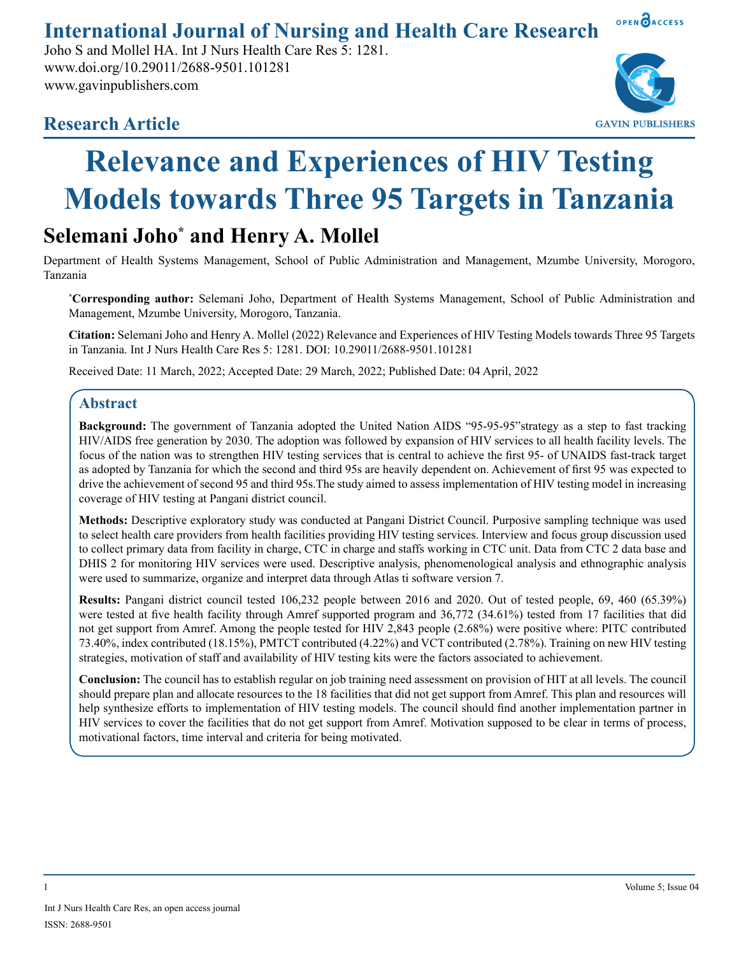**International Journal of Nursing and Health Care Research**

Joho S and Mollel HA. Int J Nurs Health Care Res 5: 1281. www.doi.org/10.29011/2688-9501.101281 www.gavinpublishers.com



OPEN OACCESS

# **Research Article**

# **Relevance and Experiences of HIV Testing Models towards Three 95 Targets in Tanzania**

# **Selemani Joho\* and Henry A. Mollel**

Department of Health Systems Management, School of Public Administration and Management, Mzumbe University, Morogoro, Tanzania

**\* Corresponding author:** Selemani Joho, Department of Health Systems Management, School of Public Administration and Management, Mzumbe University, Morogoro, Tanzania.

**Citation:** Selemani Joho and Henry A. Mollel (2022) Relevance and Experiences of HIV Testing Models towards Three 95 Targets in Tanzania. Int J Nurs Health Care Res 5: 1281. DOI: 10.29011/2688-9501.101281

Received Date: 11 March, 2022; Accepted Date: 29 March, 2022; Published Date: 04 April, 2022

# **Abstract**

**Background:** The government of Tanzania adopted the United Nation AIDS "95-95-95"strategy as a step to fast tracking HIV/AIDS free generation by 2030. The adoption was followed by expansion of HIV services to all health facility levels. The focus of the nation was to strengthen HIV testing services that is central to achieve the first 95- of UNAIDS fast-track target as adopted by Tanzania for which the second and third 95s are heavily dependent on. Achievement of first 95 was expected to drive the achievement of second 95 and third 95s.The study aimed to assess implementation of HIV testing model in increasing coverage of HIV testing at Pangani district council.

**Methods:** Descriptive exploratory study was conducted at Pangani District Council. Purposive sampling technique was used to select health care providers from health facilities providing HIV testing services. Interview and focus group discussion used to collect primary data from facility in charge, CTC in charge and staffs working in CTC unit. Data from CTC 2 data base and DHIS 2 for monitoring HIV services were used. Descriptive analysis, phenomenological analysis and ethnographic analysis were used to summarize, organize and interpret data through Atlas ti software version 7.

**Results:** Pangani district council tested 106,232 people between 2016 and 2020. Out of tested people, 69, 460 (65.39%) were tested at five health facility through Amref supported program and 36,772 (34.61%) tested from 17 facilities that did not get support from Amref. Among the people tested for HIV 2,843 people (2.68%) were positive where: PITC contributed 73.40%, index contributed (18.15%), PMTCT contributed (4.22%) and VCT contributed (2.78%). Training on new HIV testing strategies, motivation of staff and availability of HIV testing kits were the factors associated to achievement.

**Conclusion:** The council has to establish regular on job training need assessment on provision of HIT at all levels. The council should prepare plan and allocate resources to the 18 facilities that did not get support from Amref. This plan and resources will help synthesize efforts to implementation of HIV testing models. The council should find another implementation partner in HIV services to cover the facilities that do not get support from Amref. Motivation supposed to be clear in terms of process, motivational factors, time interval and criteria for being motivated.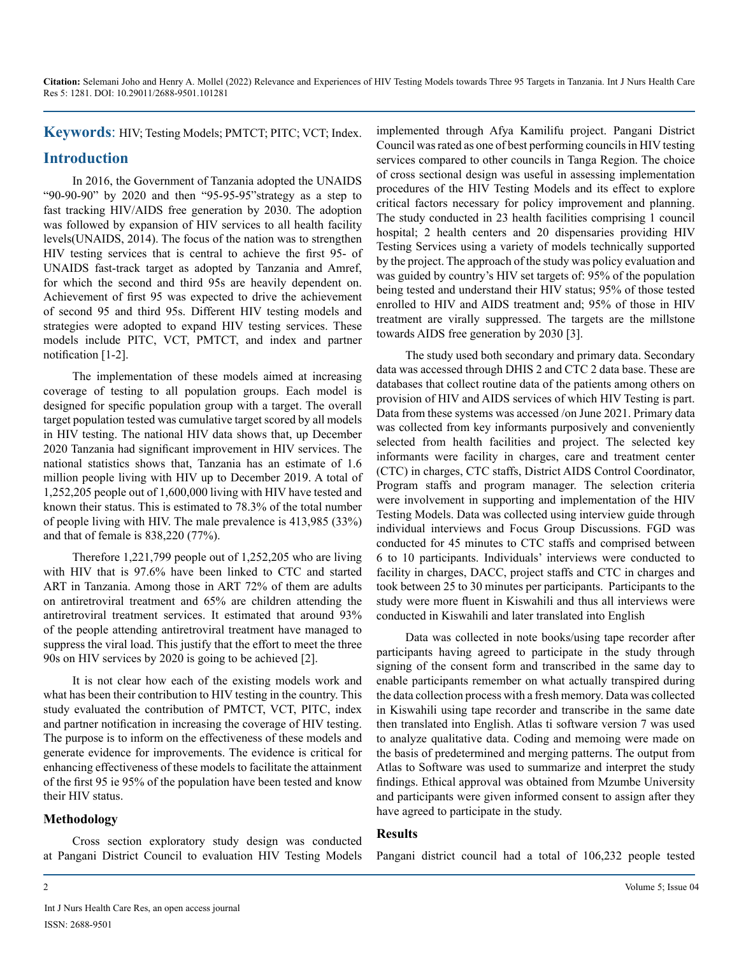**Keywords**: HIV; Testing Models; PMTCT; PITC; VCT; Index.

# **Introduction**

In 2016, the Government of Tanzania adopted the UNAIDS "90-90-90" by 2020 and then "95-95-95"strategy as a step to fast tracking HIV/AIDS free generation by 2030. The adoption was followed by expansion of HIV services to all health facility levels(UNAIDS, 2014). The focus of the nation was to strengthen HIV testing services that is central to achieve the first 95- of UNAIDS fast-track target as adopted by Tanzania and Amref, for which the second and third 95s are heavily dependent on. Achievement of first 95 was expected to drive the achievement of second 95 and third 95s. Different HIV testing models and strategies were adopted to expand HIV testing services. These models include PITC, VCT, PMTCT, and index and partner notification [1-2].

The implementation of these models aimed at increasing coverage of testing to all population groups. Each model is designed for specific population group with a target. The overall target population tested was cumulative target scored by all models in HIV testing. The national HIV data shows that, up December 2020 Tanzania had significant improvement in HIV services. The national statistics shows that, Tanzania has an estimate of 1.6 million people living with HIV up to December 2019. A total of 1,252,205 people out of 1,600,000 living with HIV have tested and known their status. This is estimated to 78.3% of the total number of people living with HIV. The male prevalence is 413,985 (33%) and that of female is 838,220 (77%).

Therefore 1,221,799 people out of 1,252,205 who are living with HIV that is 97.6% have been linked to CTC and started ART in Tanzania. Among those in ART 72% of them are adults on antiretroviral treatment and 65% are children attending the antiretroviral treatment services. It estimated that around 93% of the people attending antiretroviral treatment have managed to suppress the viral load. This justify that the effort to meet the three 90s on HIV services by 2020 is going to be achieved [2].

It is not clear how each of the existing models work and what has been their contribution to HIV testing in the country. This study evaluated the contribution of PMTCT, VCT, PITC, index and partner notification in increasing the coverage of HIV testing. The purpose is to inform on the effectiveness of these models and generate evidence for improvements. The evidence is critical for enhancing effectiveness of these models to facilitate the attainment of the first 95 ie 95% of the population have been tested and know their HIV status.

# **Methodology**

Cross section exploratory study design was conducted at Pangani District Council to evaluation HIV Testing Models implemented through Afya Kamilifu project. Pangani District Council was rated as one of best performing councils in HIV testing services compared to other councils in Tanga Region. The choice of cross sectional design was useful in assessing implementation procedures of the HIV Testing Models and its effect to explore critical factors necessary for policy improvement and planning. The study conducted in 23 health facilities comprising 1 council hospital; 2 health centers and 20 dispensaries providing HIV Testing Services using a variety of models technically supported by the project. The approach of the study was policy evaluation and was guided by country's HIV set targets of: 95% of the population being tested and understand their HIV status; 95% of those tested enrolled to HIV and AIDS treatment and; 95% of those in HIV treatment are virally suppressed. The targets are the millstone towards AIDS free generation by 2030 [3].

The study used both secondary and primary data. Secondary data was accessed through DHIS 2 and CTC 2 data base. These are databases that collect routine data of the patients among others on provision of HIV and AIDS services of which HIV Testing is part. Data from these systems was accessed /on June 2021. Primary data was collected from key informants purposively and conveniently selected from health facilities and project. The selected key informants were facility in charges, care and treatment center (CTC) in charges, CTC staffs, District AIDS Control Coordinator, Program staffs and program manager. The selection criteria were involvement in supporting and implementation of the HIV Testing Models. Data was collected using interview guide through individual interviews and Focus Group Discussions. FGD was conducted for 45 minutes to CTC staffs and comprised between 6 to 10 participants. Individuals' interviews were conducted to facility in charges, DACC, project staffs and CTC in charges and took between 25 to 30 minutes per participants. Participants to the study were more fluent in Kiswahili and thus all interviews were conducted in Kiswahili and later translated into English

Data was collected in note books/using tape recorder after participants having agreed to participate in the study through signing of the consent form and transcribed in the same day to enable participants remember on what actually transpired during the data collection process with a fresh memory. Data was collected in Kiswahili using tape recorder and transcribe in the same date then translated into English. Atlas ti software version 7 was used to analyze qualitative data. Coding and memoing were made on the basis of predetermined and merging patterns. The output from Atlas to Software was used to summarize and interpret the study findings. Ethical approval was obtained from Mzumbe University and participants were given informed consent to assign after they have agreed to participate in the study.

#### **Results**

Pangani district council had a total of 106,232 people tested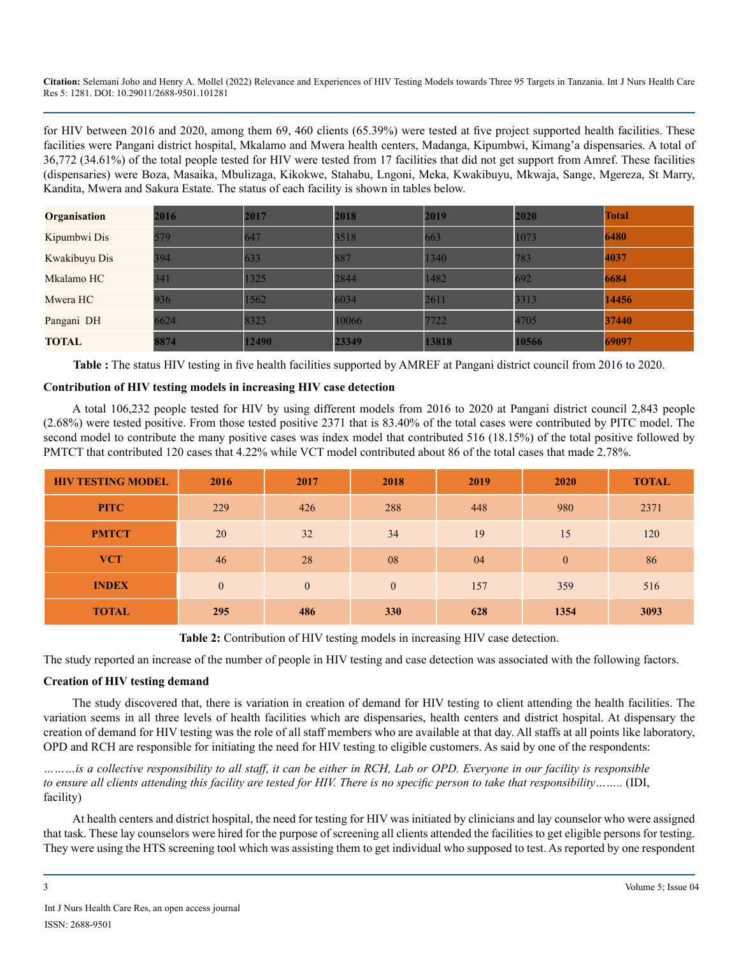for HIV between 2016 and 2020, among them 69, 460 clients (65.39%) were tested at five project supported health facilities. These facilities were Pangani district hospital, Mkalamo and Mwera health centers, Madanga, Kipumbwi, Kimang'a dispensaries. A total of 36,772 (34.61%) of the total people tested for HIV were tested from 17 facilities that did not get support from Amref. These facilities (dispensaries) were Boza, Masaika, Mbulizaga, Kikokwe, Stahabu, Lngoni, Meka, Kwakibuyu, Mkwaja, Sange, Mgereza, St Marry, Kandita, Mwera and Sakura Estate. The status of each facility is shown in tables below.

| <b>Organisation</b> | 2016 | 2017  | 2018  | 2019  | 2020  | <b>Total</b> |
|---------------------|------|-------|-------|-------|-------|--------------|
| Kipumbwi Dis        | 579  | 647   | 3518  | 663   | 1073  | 6480         |
| Kwakibuyu Dis       | 394  | 633   | 887   | 1340  | 783   | 4037         |
| Mkalamo HC          | 341  | 1325  | 2844  | 1482  | 692   | 6684         |
| Mwera HC            | 936  | 1562  | 6034  | 2611  | 3313  | 14456        |
| Pangani DH          | 6624 | 8323  | 10066 | 7722  | 4705  | 37440        |
| <b>TOTAL</b>        | 8874 | 12490 | 23349 | 13818 | 10566 | 69097        |

**Table :** The status HIV testing in five health facilities supported by AMREF at Pangani district council from 2016 to 2020.

#### **Contribution of HIV testing models in increasing HIV case detection**

A total 106,232 people tested for HIV by using different models from 2016 to 2020 at Pangani district council 2,843 people (2.68%) were tested positive. From those tested positive 2371 that is 83.40% of the total cases were contributed by PITC model. The second model to contribute the many positive cases was index model that contributed 516 (18.15%) of the total positive followed by PMTCT that contributed 120 cases that 4.22% while VCT model contributed about 86 of the total cases that made 2.78%.

| <b>HIV TESTING MODEL</b> | 2016         | 2017         | 2018         | 2019 | 2020     | <b>TOTAL</b> |
|--------------------------|--------------|--------------|--------------|------|----------|--------------|
| <b>PITC</b>              | 229          | 426          | 288          | 448  | 980      | 2371         |
| <b>PMTCT</b>             | 20           | 32           | 34           | 19   | 15       | 120          |
| <b>VCT</b>               | 46           | 28           | 08           | 04   | $\theta$ | 86           |
| <b>INDEX</b>             | $\mathbf{0}$ | $\mathbf{0}$ | $\mathbf{0}$ | 157  | 359      | 516          |
| <b>TOTAL</b>             | 295          | 486          | <b>330</b>   | 628  | 1354     | 3093         |

**Table 2:** Contribution of HIV testing models in increasing HIV case detection.

The study reported an increase of the number of people in HIV testing and case detection was associated with the following factors.

#### **Creation of HIV testing demand**

The study discovered that, there is variation in creation of demand for HIV testing to client attending the health facilities. The variation seems in all three levels of health facilities which are dispensaries, health centers and district hospital. At dispensary the creation of demand for HIV testing was the role of all staff members who are available at that day. All staffs at all points like laboratory, OPD and RCH are responsible for initiating the need for HIV testing to eligible customers. As said by one of the respondents:

*………is a collective responsibility to all staff, it can be either in RCH, Lab or OPD. Everyone in our facility is responsible to ensure all clients attending this facility are tested for HIV. There is no specific person to take that responsibility……..* (IDI, facility)

At health centers and district hospital, the need for testing for HIV was initiated by clinicians and lay counselor who were assigned that task. These lay counselors were hired for the purpose of screening all clients attended the facilities to get eligible persons for testing. They were using the HTS screening tool which was assisting them to get individual who supposed to test. As reported by one respondent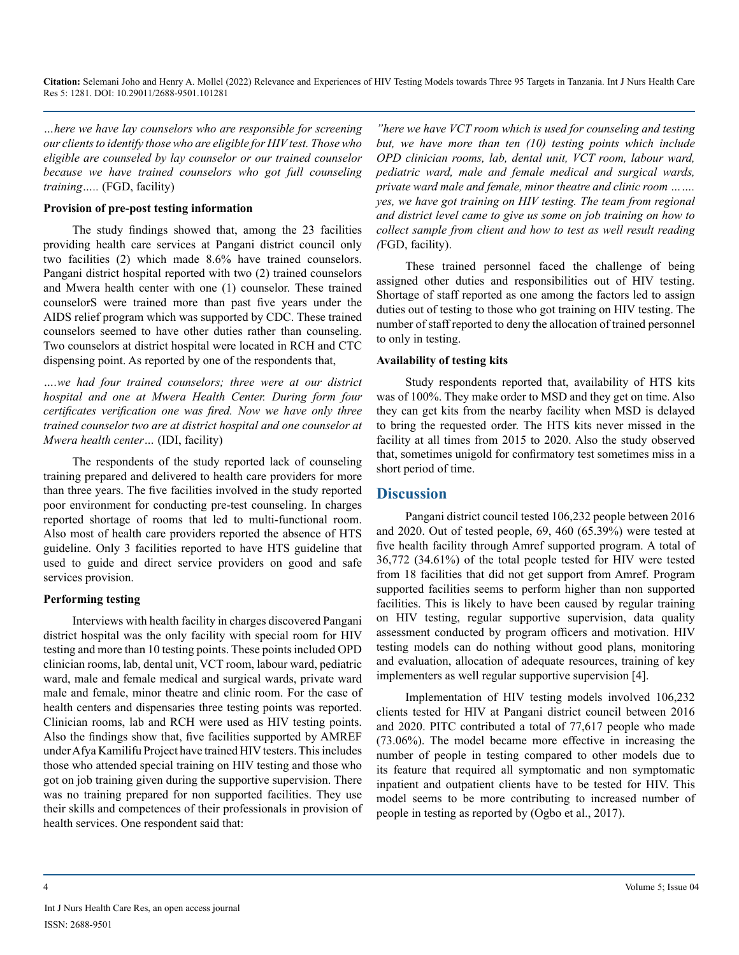*…here we have lay counselors who are responsible for screening our clients to identify those who are eligible for HIV test. Those who eligible are counseled by lay counselor or our trained counselor because we have trained counselors who got full counseling training…..* (FGD, facility)

#### **Provision of pre-post testing information**

The study findings showed that, among the 23 facilities providing health care services at Pangani district council only two facilities (2) which made 8.6% have trained counselors. Pangani district hospital reported with two (2) trained counselors and Mwera health center with one (1) counselor. These trained counselorS were trained more than past five years under the AIDS relief program which was supported by CDC. These trained counselors seemed to have other duties rather than counseling. Two counselors at district hospital were located in RCH and CTC dispensing point. As reported by one of the respondents that,

*….we had four trained counselors; three were at our district hospital and one at Mwera Health Center. During form four certificates verification one was fired. Now we have only three trained counselor two are at district hospital and one counselor at Mwera health center…* (IDI, facility)

The respondents of the study reported lack of counseling training prepared and delivered to health care providers for more than three years. The five facilities involved in the study reported poor environment for conducting pre-test counseling. In charges reported shortage of rooms that led to multi-functional room. Also most of health care providers reported the absence of HTS guideline. Only 3 facilities reported to have HTS guideline that used to guide and direct service providers on good and safe services provision.

#### **Performing testing**

Interviews with health facility in charges discovered Pangani district hospital was the only facility with special room for HIV testing and more than 10 testing points. These points included OPD clinician rooms, lab, dental unit, VCT room, labour ward, pediatric ward, male and female medical and surgical wards, private ward male and female, minor theatre and clinic room. For the case of health centers and dispensaries three testing points was reported. Clinician rooms, lab and RCH were used as HIV testing points. Also the findings show that, five facilities supported by AMREF under Afya Kamilifu Project have trained HIV testers. This includes those who attended special training on HIV testing and those who got on job training given during the supportive supervision. There was no training prepared for non supported facilities. They use their skills and competences of their professionals in provision of health services. One respondent said that:

*"here we have VCT room which is used for counseling and testing but, we have more than ten (10) testing points which include OPD clinician rooms, lab, dental unit, VCT room, labour ward, pediatric ward, male and female medical and surgical wards, private ward male and female, minor theatre and clinic room ……. yes, we have got training on HIV testing. The team from regional and district level came to give us some on job training on how to collect sample from client and how to test as well result reading (*FGD, facility).

These trained personnel faced the challenge of being assigned other duties and responsibilities out of HIV testing. Shortage of staff reported as one among the factors led to assign duties out of testing to those who got training on HIV testing. The number of staff reported to deny the allocation of trained personnel to only in testing.

#### **Availability of testing kits**

Study respondents reported that, availability of HTS kits was of 100%. They make order to MSD and they get on time. Also they can get kits from the nearby facility when MSD is delayed to bring the requested order. The HTS kits never missed in the facility at all times from 2015 to 2020. Also the study observed that, sometimes unigold for confirmatory test sometimes miss in a short period of time.

# **Discussion**

Pangani district council tested 106,232 people between 2016 and 2020. Out of tested people, 69, 460 (65.39%) were tested at five health facility through Amref supported program. A total of 36,772 (34.61%) of the total people tested for HIV were tested from 18 facilities that did not get support from Amref. Program supported facilities seems to perform higher than non supported facilities. This is likely to have been caused by regular training on HIV testing, regular supportive supervision, data quality assessment conducted by program officers and motivation. HIV testing models can do nothing without good plans, monitoring and evaluation, allocation of adequate resources, training of key implementers as well regular supportive supervision [4].

Implementation of HIV testing models involved 106,232 clients tested for HIV at Pangani district council between 2016 and 2020. PITC contributed a total of 77,617 people who made (73.06%). The model became more effective in increasing the number of people in testing compared to other models due to its feature that required all symptomatic and non symptomatic inpatient and outpatient clients have to be tested for HIV. This model seems to be more contributing to increased number of people in testing as reported by (Ogbo et al., 2017).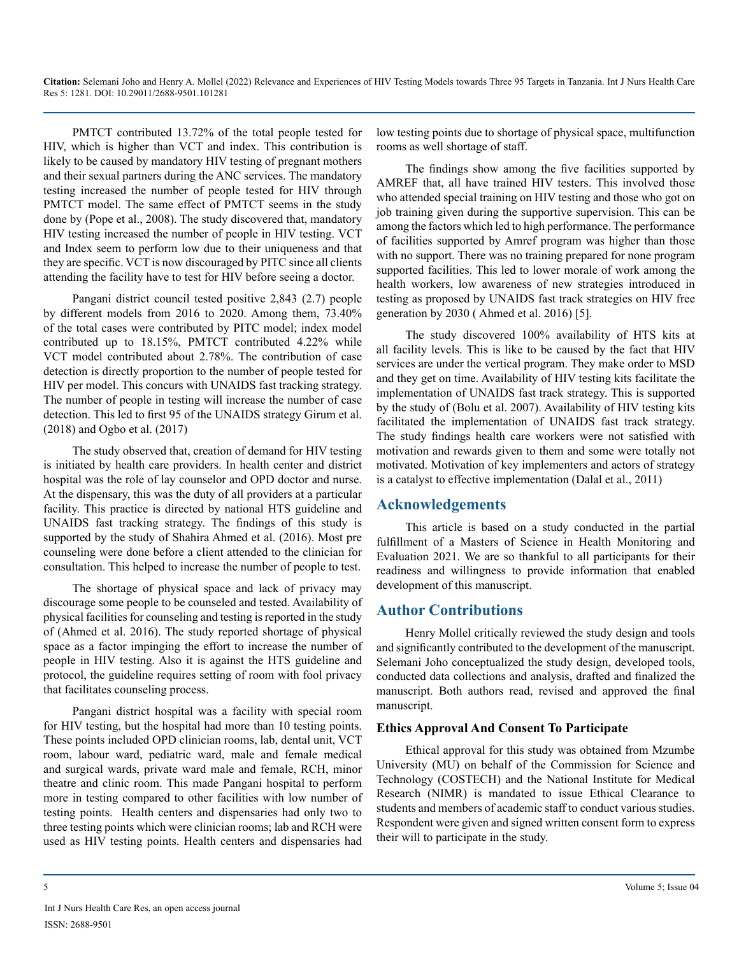PMTCT contributed 13.72% of the total people tested for HIV, which is higher than VCT and index. This contribution is likely to be caused by mandatory HIV testing of pregnant mothers and their sexual partners during the ANC services. The mandatory testing increased the number of people tested for HIV through PMTCT model. The same effect of PMTCT seems in the study done by (Pope et al., 2008). The study discovered that, mandatory HIV testing increased the number of people in HIV testing. VCT and Index seem to perform low due to their uniqueness and that they are specific. VCT is now discouraged by PITC since all clients attending the facility have to test for HIV before seeing a doctor.

Pangani district council tested positive 2,843 (2.7) people by different models from 2016 to 2020. Among them, 73.40% of the total cases were contributed by PITC model; index model contributed up to 18.15%, PMTCT contributed 4.22% while VCT model contributed about 2.78%. The contribution of case detection is directly proportion to the number of people tested for HIV per model. This concurs with UNAIDS fast tracking strategy. The number of people in testing will increase the number of case detection. This led to first 95 of the UNAIDS strategy Girum et al. (2018) and Ogbo et al. (2017)

The study observed that, creation of demand for HIV testing is initiated by health care providers. In health center and district hospital was the role of lay counselor and OPD doctor and nurse. At the dispensary, this was the duty of all providers at a particular facility. This practice is directed by national HTS guideline and UNAIDS fast tracking strategy. The findings of this study is supported by the study of Shahira Ahmed et al. (2016). Most pre counseling were done before a client attended to the clinician for consultation. This helped to increase the number of people to test.

The shortage of physical space and lack of privacy may discourage some people to be counseled and tested. Availability of physical facilities for counseling and testing is reported in the study of (Ahmed et al. 2016). The study reported shortage of physical space as a factor impinging the effort to increase the number of people in HIV testing. Also it is against the HTS guideline and protocol, the guideline requires setting of room with fool privacy that facilitates counseling process.

Pangani district hospital was a facility with special room for HIV testing, but the hospital had more than 10 testing points. These points included OPD clinician rooms, lab, dental unit, VCT room, labour ward, pediatric ward, male and female medical and surgical wards, private ward male and female, RCH, minor theatre and clinic room. This made Pangani hospital to perform more in testing compared to other facilities with low number of testing points. Health centers and dispensaries had only two to three testing points which were clinician rooms; lab and RCH were used as HIV testing points. Health centers and dispensaries had

low testing points due to shortage of physical space, multifunction rooms as well shortage of staff.

The findings show among the five facilities supported by AMREF that, all have trained HIV testers. This involved those who attended special training on HIV testing and those who got on job training given during the supportive supervision. This can be among the factors which led to high performance. The performance of facilities supported by Amref program was higher than those with no support. There was no training prepared for none program supported facilities. This led to lower morale of work among the health workers, low awareness of new strategies introduced in testing as proposed by UNAIDS fast track strategies on HIV free generation by 2030 ( Ahmed et al. 2016) [5].

The study discovered 100% availability of HTS kits at all facility levels. This is like to be caused by the fact that HIV services are under the vertical program. They make order to MSD and they get on time. Availability of HIV testing kits facilitate the implementation of UNAIDS fast track strategy. This is supported by the study of (Bolu et al. 2007). Availability of HIV testing kits facilitated the implementation of UNAIDS fast track strategy. The study findings health care workers were not satisfied with motivation and rewards given to them and some were totally not motivated. Motivation of key implementers and actors of strategy is a catalyst to effective implementation (Dalal et al., 2011)

# **Acknowledgements**

This article is based on a study conducted in the partial fulfillment of a Masters of Science in Health Monitoring and Evaluation 2021. We are so thankful to all participants for their readiness and willingness to provide information that enabled development of this manuscript.

# **Author Contributions**

Henry Mollel critically reviewed the study design and tools and significantly contributed to the development of the manuscript. Selemani Joho conceptualized the study design, developed tools, conducted data collections and analysis, drafted and finalized the manuscript. Both authors read, revised and approved the final manuscript.

# **Ethics Approval And Consent To Participate**

Ethical approval for this study was obtained from Mzumbe University (MU) on behalf of the Commission for Science and Technology (COSTECH) and the National Institute for Medical Research (NIMR) is mandated to issue Ethical Clearance to students and members of academic staff to conduct various studies. Respondent were given and signed written consent form to express their will to participate in the study.